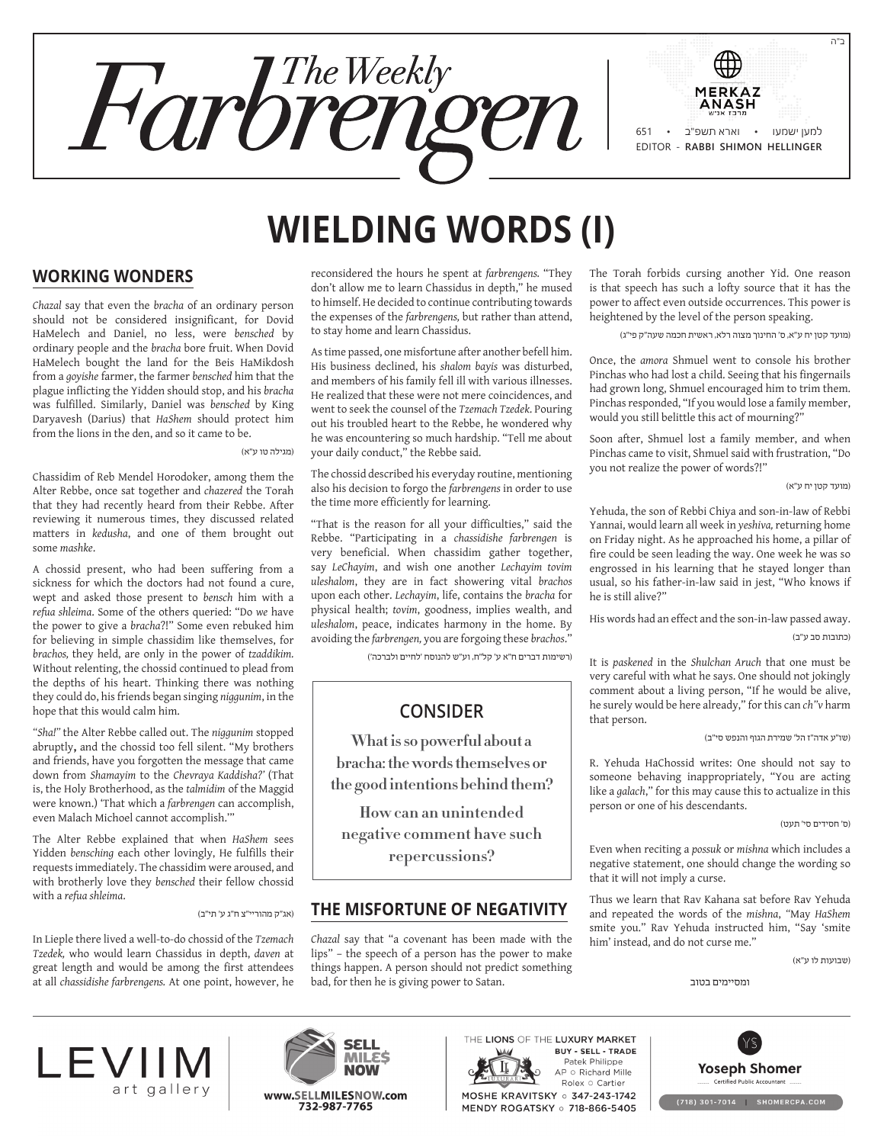

# **Wielding Words (I)**

## **Working Wonders**

*Chazal* say that even the *bracha* of an ordinary person should not be considered insignificant, for Dovid HaMelech and Daniel, no less, were *bensched* by ordinary people and the *bracha* bore fruit. When Dovid HaMelech bought the land for the Beis HaMikdosh from a *goyishe* farmer, the farmer *bensched* him that the plague inflicting the Yidden should stop, and his *bracha* was fulfilled. Similarly, Daniel was *bensched* by King Daryavesh (Darius) that *HaShem* should protect him from the lions in the den, and so it came to be.

#### )מגילה טו ע"א(

Chassidim of Reb Mendel Horodoker, among them the Alter Rebbe, once sat together and *chazered* the Torah that they had recently heard from their Rebbe. After reviewing it numerous times, they discussed related matters in *kedusha*, and one of them brought out some *mashke*.

A chossid present, who had been suffering from a sickness for which the doctors had not found a cure, wept and asked those present to *bensch* him with a *refua shleima*. Some of the others queried: "Do *we* have the power to give a *bracha*?!" Some even rebuked him for believing in simple chassidim like themselves, for *brachos,* they held, are only in the power of *tzaddikim.* Without relenting, the chossid continued to plead from the depths of his heart. Thinking there was nothing they could do, his friends began singing *niggunim*, in the hope that this would calm him.

*"Sha!"* the Alter Rebbe called out. The *niggunim* stopped abruptly**,** and the chossid too fell silent. "My brothers and friends, have you forgotten the message that came down from *Shamayim* to the *Chevraya Kaddisha?'* (That is, the Holy Brotherhood, as the *talmidim* of the Maggid were known.) 'That which a *farbrengen* can accomplish, even Malach Michoel cannot accomplish.'"

The Alter Rebbe explained that when *HaShem* sees Yidden *bensching* each other lovingly, He fulfills their requests immediately. The chassidim were aroused, and with brotherly love they *bensched* their fellow chossid with a *refua shleima*.

#### )אג"ק מהוריי"צ ח"ג ע' תי"ב(

In Lieple there lived a well-to-do chossid of the *Tzemach Tzedek,* who would learn Chassidus in depth, *daven* at great length and would be among the first attendees at all *chassidishe farbrengens.* At one point, however, he

reconsidered the hours he spent at *farbrengens.* "They don't allow me to learn Chassidus in depth," he mused to himself. He decided to continue contributing towards the expenses of the *farbrengens,* but rather than attend, to stay home and learn Chassidus.

As time passed, one misfortune after another befell him. His business declined, his *shalom bayis* was disturbed, and members of his family fell ill with various illnesses. He realized that these were not mere coincidences, and went to seek the counsel of the *Tzemach Tzedek*. Pouring out his troubled heart to the Rebbe, he wondered why he was encountering so much hardship. "Tell me about your daily conduct," the Rebbe said.

The chossid described his everyday routine, mentioning also his decision to forgo the *farbrengens* in order to use the time more efficiently for learning.

"That is the reason for all your difficulties," said the Rebbe. "Participating in a *chassidishe farbrengen* is very beneficial. When chassidim gather together, say *LeChayim*, and wish one another *Lechayim tovim uleshalom*, they are in fact showering vital *brachos* upon each other. *Lechayim*, life, contains the *bracha* for physical health; *tovim*, goodness, implies wealth, and *uleshalom*, peace, indicates harmony in the home. By avoiding the *farbrengen,* you are forgoing these *brachos*."

)רשימות דברים ח"א ע' קל"ח, וע"ש להנוסח 'לחיים ולברכה'(

# **Consider**

**What is so powerful about a bracha: the words themselves or the good intentions behind them?**

**How can an unintended negative comment have such repercussions?**

## **The Misfortune of Negativity**

*Chazal* say that "a covenant has been made with the lips" – the speech of a person has the power to make things happen. A person should not predict something bad, for then he is giving power to Satan.

The Torah forbids cursing another Yid. One reason is that speech has such a lofty source that it has the power to affect even outside occurrences. This power is heightened by the level of the person speaking.

)מועד קטן יח ע"א, ס' החינוך מצוה רלא, ראשית חכמה שעה"ק פי"ג(

Once, the *amora* Shmuel went to console his brother Pinchas who had lost a child. Seeing that his fingernails had grown long, Shmuel encouraged him to trim them. Pinchas responded, "If you would lose a family member, would you still belittle this act of mourning?"

Soon after, Shmuel lost a family member, and when Pinchas came to visit, Shmuel said with frustration, "Do you not realize the power of words?!"

)מועד קטן יח ע"א(

Yehuda, the son of Rebbi Chiya and son-in-law of Rebbi Yannai, would learn all week in *yeshiva,* returning home on Friday night. As he approached his home, a pillar of fire could be seen leading the way. One week he was so engrossed in his learning that he stayed longer than usual, so his father-in-law said in jest, "Who knows if he is still alive?"

His words had an effect and the son-in-law passed away. (כתובות סב ע"ב)

It is *paskened* in the *Shulchan Aruch* that one must be very careful with what he says. One should not jokingly comment about a living person, "If he would be alive, he surely would be here already," for this can *ch"v* harm that person.

)שו"ע אדה"ז הל' שמירת הגוף והנפש סי"ב(

R. Yehuda HaChossid writes: One should not say to someone behaving inappropriately, "You are acting like a *galach*," for this may cause this to actualize in this person or one of his descendants.

)ס' חסידים סי' תעט(

Even when reciting a *possuk* or *mishna* which includes a negative statement, one should change the wording so that it will not imply a curse.

Thus we learn that Rav Kahana sat before Rav Yehuda and repeated the words of the *mishna*, *"*May *HaShem* smite you." Rav Yehuda instructed him, "Say 'smite him' instead, and do not curse me."

)שבועות לו ע"א(

ומסיימים בטוב